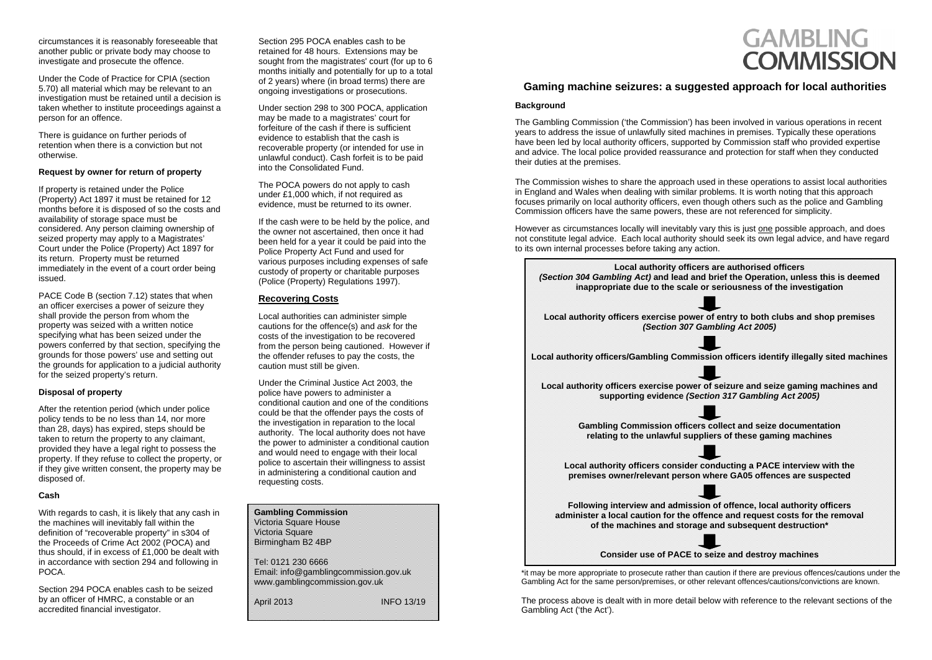| Email: info@gamblingcommission.gov.uk<br>www.gamblingcommission.gov.uk |
|------------------------------------------------------------------------|
| <b>INFO 13/19</b>                                                      |
|                                                                        |

circumstances it is reasonably foreseeable that another public or private body may choose to investigate and prosecute the offence.

Under the Code of Practice for CPIA (section 5.70) all material which may be relevant to an investigation must be retained until a decision is taken whether to institute proceedings against a person for an offence.

There is guidance on further periods of retention when there is a conviction but not otherwise.

### **Request by owner for return of property**

If property is retained under the Police (Property) Act 1897 it must be retained for 12 months before it is disposed of so the costs and availability of storage space must be considered. Any person claiming ownership of seized property may apply to a Magistrates' Court under the Police (Property) Act 1897 for its return. Property must be returned immediately in the event of a court order being issued.

PACE Code B (section 7.12) states that when an officer exercises a power of seizure they shall provide the person from whom the property was seized with a written notice specifying what has been seized under the powers conferred by that section, specifying the grounds for those powers' use and setting out the grounds for application to a judicial authority for the seized property's return.

### **Disposal of property**

After the retention period (which under police policy tends to be no less than 14, nor more than 28, days) has expired, steps should be taken to return the property to any claimant, provided they have a legal right to possess the property. If they refuse to collect the property, or if they give written consent, the property may be disposed of.

### **Cash**

With regards to cash, it is likely that any cash in the machines will inevitably fall within the definition of "recoverable property" in s304 of the Proceeds of Crime Act 2002 (POCA) and thus should, if in excess of £1,000 be dealt with in accordance with section 294 and following in POCA.

Section 294 POCA enables cash to be seized by an officer of HMRC, a constable or an accredited financial investigator.

## **Gaming machine seizures: a suggested approach for local authorities**

### **Background**

The Gambling Commission ('the Commission') has been involved in various operations in recent years to address the issue of unlawfully sited machines in premises. Typically these operations have been led by local authority officers, supported by Commission staff who provided expertise and advice. The local police provided reassurance and protection for staff when they conducted their duties at the premises.

The Commission wishes to share the approach used in these operations to assist local authorities in England and Wales when dealing with similar problems. It is worth noting that this approach focuses primarily on local authority officers, even though others such as the police and Gambling Commission officers have the same powers, these are not referenced for simplicity.

However as circumstances locally will inevitably vary this is just one possible approach, and does not constitute legal advice. Each local authority should seek its own legal advice, and have regard to its own internal processes before takin g an y action.

| <b>Local authority officers</b><br>(Section 304 Gambling Act) and lead and I<br>inappropriate due to the scale or   |
|---------------------------------------------------------------------------------------------------------------------|
|                                                                                                                     |
| Local authority officers exercise power o<br>(Section 307 Gar                                                       |
|                                                                                                                     |
| <b>Local authority officers/Gambling Commiss</b>                                                                    |
| Local authority officers exercise power of<br>supporting evidence (Secti                                            |
|                                                                                                                     |
| <b>Gambling Commission officers o</b><br>relating to the unlawful supplic                                           |
|                                                                                                                     |
| Local authority officers consider co<br>premises owner/relevant person w                                            |
|                                                                                                                     |
| <b>Following interview and admission</b><br>administer a local caution for the offer<br>of the machines and storage |
|                                                                                                                     |
| <b>Consider use of PACE to so</b>                                                                                   |
| may be more appropriate to prosecute rather than ca<br>imbling Act for the same person/premises or other r          |

The process above is dealt with in more detail below with reference to the relevant sections of the Gambling Act ('the Act').

# **GAMBLING COMMISSION**

| Local authority officers are authorised officers<br>(Section 304 Gambling Act) and lead and brief the Operation, unless this is deemed     |
|--------------------------------------------------------------------------------------------------------------------------------------------|
| inappropriate due to the scale or seriousness of the investigation                                                                         |
|                                                                                                                                            |
| Local authority officers exercise power of entry to both clubs and shop premises<br>(Section 307 Gambling Act 2005)                        |
|                                                                                                                                            |
| Local authority officers/Gambling Commission officers identify illegally sited machines                                                    |
|                                                                                                                                            |
| Local authority officers exercise power of seizure and seize gaming machines and<br>supporting evidence (Section 317 Gambling Act 2005)    |
|                                                                                                                                            |
| <b>Gambling Commission officers collect and seize documentation</b>                                                                        |
| relating to the unlawful suppliers of these gaming machines                                                                                |
|                                                                                                                                            |
| Local authority officers consider conducting a PACE interview with the<br>premises owner/relevant person where GA05 offences are suspected |
|                                                                                                                                            |
| Following interview and admission of offence, local authority officers                                                                     |
| administer a local caution for the offence and request costs for the removal                                                               |
| of the machines and storage and subsequent destruction*                                                                                    |
|                                                                                                                                            |
| Consider use of PACE to seize and destroy machines                                                                                         |
|                                                                                                                                            |

\*it may be more appropriate to prosecute rather than caution if there are previous offences/cautions under the<br>Gambling Act for the same person/premises, or other relevant offences/cautions/convictions are known. relevant offences/cautions/convictions are known.

Section 295 POCA enables cash to be retained for 48 hours. Extensions may be sought from the magistrates' court (for up to 6 months initially and potentially for up to a total of 2 years) where (in broad terms) there are ongoing investigations or prosecutions.

Under section 298 to 300 POCA, application may be made to a magistrates' court for forfeiture of the cash if there is sufficient evidence to establish that the cash is recoverable property (or intended for use in unlawful conduct). Cash forfeit is to be paid into the Consolidated Fund.

The POCA powers do not apply to cash under £1,000 which, if not required as evidence, must be returned to its owner.

If the cash were to be held by the police, and the owner not ascertained, then once it had been held for a year it could be paid into the Police Property Act Fund and used for various purposes including expenses of safe custody of property or charitable purposes (Police (Property) Regulations 1997).

### **Recovering Costs**

Local authorities can administer simple cautions for the offence(s) and *ask* for the costs of the investigation to be recovered from the person being cautioned. However if the offender refuses to pay the costs, the caution must still be given.

Under the Criminal Justice Act 2003, the police have powers to administer a conditional caution and one of the conditions could be that the offender pays the costs of the investigation in reparation to the local authority. The local authority does not have the power to administer a conditional caution and would need to engage with their local police to ascertain their willingness to assist in administering a conditional caution and requesting costs.